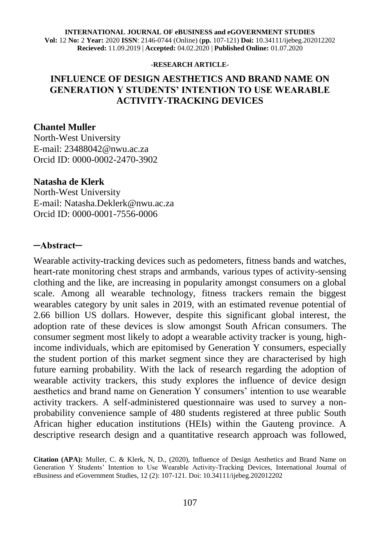#### **INTERNATIONAL JOURNAL OF eBUSINESS and eGOVERNMENT STUDIES Vol:** 12 **No:** 2 **Year:** 2020 **ISSN**: 2146-0744 (Online) (**pp.** 107-121) **Doi:** 10.34111/ijebeg.202012202 **Recieved:** 11.09.2019 | **Accepted:** 04.02.2020 | **Published Online:** 01.07.2020

#### **-RESEARCH ARTICLE-**

### **INFLUENCE OF DESIGN AESTHETICS AND BRAND NAME ON GENERATION Y STUDENTS' INTENTION TO USE WEARABLE ACTIVITY-TRACKING DEVICES**

#### **Chantel Muller**

North-West University E-mail: 23488042@nwu.ac.za Orcid ID: [0000-0002-2470-3902](https://orcid.org/0000-0002-2470-3902)

#### **Natasha de Klerk**

North-West University E-mail: Natasha.Deklerk@nwu.ac.za Orcid ID: 0000-0001-7556-0006

#### **─Abstract─**

Wearable activity-tracking devices such as pedometers, fitness bands and watches, heart-rate monitoring chest straps and armbands, various types of activity-sensing clothing and the like, are increasing in popularity amongst consumers on a global scale. Among all wearable technology, fitness trackers remain the biggest wearables category by unit sales in 2019, with an estimated revenue potential of 2.66 billion US dollars. However, despite this significant global interest, the adoption rate of these devices is slow amongst South African consumers. The consumer segment most likely to adopt a wearable activity tracker is young, highincome individuals, which are epitomised by Generation Y consumers, especially the student portion of this market segment since they are characterised by high future earning probability. With the lack of research regarding the adoption of wearable activity trackers, this study explores the influence of device design aesthetics and brand name on Generation Y consumers' intention to use wearable activity trackers. A self-administered questionnaire was used to survey a nonprobability convenience sample of 480 students registered at three public South African higher education institutions (HEIs) within the Gauteng province. A descriptive research design and a quantitative research approach was followed,

**Citation (APA):** Muller, C. & Klerk, N, D., (2020), Influence of Design Aesthetics and Brand Name on Generation Y Students' Intention to Use Wearable Activity-Tracking Devices, International Journal of eBusiness and eGovernment Studies, 12 (2): 107-121. Doi: 10.34111/ijebeg.202012202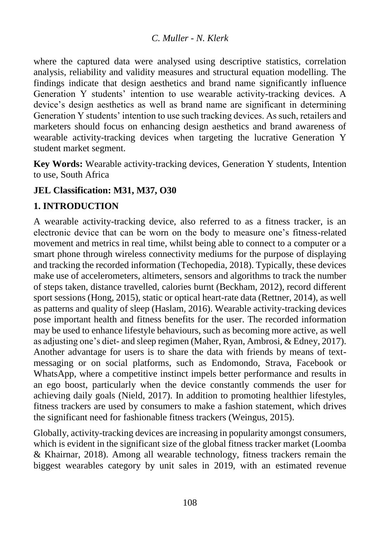where the captured data were analysed using descriptive statistics, correlation analysis, reliability and validity measures and structural equation modelling. The findings indicate that design aesthetics and brand name significantly influence Generation Y students' intention to use wearable activity-tracking devices. A device's design aesthetics as well as brand name are significant in determining Generation Y students' intention to use such tracking devices. As such, retailers and marketers should focus on enhancing design aesthetics and brand awareness of wearable activity-tracking devices when targeting the lucrative Generation Y student market segment.

**Key Words:** Wearable activity-tracking devices, Generation Y students, Intention to use, South Africa

# **JEL Classification: M31, M37, O30**

# **1. INTRODUCTION**

A wearable activity-tracking device, also referred to as a fitness tracker, is an electronic device that can be worn on the body to measure one's fitness-related movement and metrics in real time, whilst being able to connect to a computer or a smart phone through wireless connectivity mediums for the purpose of displaying and tracking the recorded information (Techopedia, 2018). Typically, these devices make use of accelerometers, altimeters, sensors and algorithms to track the number of steps taken, distance travelled, calories burnt (Beckham, 2012), record different sport sessions (Hong, 2015), static or optical heart-rate data (Rettner, 2014), as well as patterns and quality of sleep (Haslam, 2016). Wearable activity-tracking devices pose important health and fitness benefits for the user. The recorded information may be used to enhance lifestyle behaviours, such as becoming more active, as well as adjusting one's diet- and sleep regimen (Maher, Ryan, Ambrosi, & Edney, 2017). Another advantage for users is to share the data with friends by means of textmessaging or on social platforms, such as Endomondo, Strava, Facebook or WhatsApp, where a competitive instinct impels better performance and results in an ego boost, particularly when the device constantly commends the user for achieving daily goals (Nield, 2017). In addition to promoting healthier lifestyles, fitness trackers are used by consumers to make a fashion statement, which drives the significant need for fashionable fitness trackers (Weingus, 2015).

Globally, activity-tracking devices are increasing in popularity amongst consumers, which is evident in the significant size of the global fitness tracker market (Loomba & Khairnar, 2018). Among all wearable technology, fitness trackers remain the biggest wearables category by unit sales in 2019, with an estimated revenue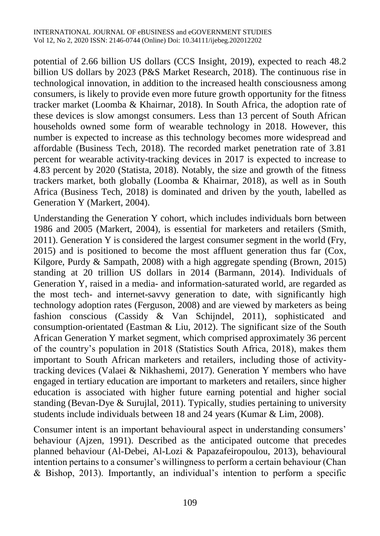potential of 2.66 billion US dollars (CCS Insight, 2019), expected to reach 48.2 billion US dollars by 2023 (P&S Market Research, 2018). The continuous rise in technological innovation, in addition to the increased health consciousness among consumers, is likely to provide even more future growth opportunity for the fitness tracker market (Loomba & Khairnar, 2018). In South Africa, the adoption rate of these devices is slow amongst consumers. Less than 13 percent of South African households owned some form of wearable technology in 2018. However, this number is expected to increase as this technology becomes more widespread and affordable (Business Tech, 2018). The recorded market penetration rate of 3.81 percent for wearable activity-tracking devices in 2017 is expected to increase to 4.83 percent by 2020 (Statista, 2018). Notably, the size and growth of the fitness trackers market, both globally (Loomba & Khairnar, 2018), as well as in South Africa (Business Tech, 2018) is dominated and driven by the youth, labelled as Generation Y (Markert, 2004).

Understanding the Generation Y cohort, which includes individuals born between 1986 and 2005 (Markert, 2004), is essential for marketers and retailers (Smith, 2011). Generation Y is considered the largest consumer segment in the world (Fry, 2015) and is positioned to become the most affluent generation thus far (Cox, Kilgore, Purdy & Sampath, 2008) with a high aggregate spending (Brown, 2015) standing at 20 trillion US dollars in 2014 (Barmann, 2014). Individuals of Generation Y, raised in a media- and information-saturated world, are regarded as the most tech- and internet-savvy generation to date, with significantly high technology adoption rates (Ferguson, 2008) and are viewed by marketers as being fashion conscious (Cassidy & Van Schijndel, 2011), sophisticated and consumption-orientated (Eastman & Liu, 2012). The significant size of the South African Generation Y market segment, which comprised approximately 36 percent of the country's population in 2018 (Statistics South Africa, 2018), makes them important to South African marketers and retailers, including those of activitytracking devices (Valaei & Nikhashemi, 2017). Generation Y members who have engaged in tertiary education are important to marketers and retailers, since higher education is associated with higher future earning potential and higher social standing (Bevan-Dye & Surujlal, 2011). Typically, studies pertaining to university students include individuals between 18 and 24 years (Kumar & Lim, 2008).

Consumer intent is an important behavioural aspect in understanding consumers' behaviour (Ajzen, 1991). Described as the anticipated outcome that precedes planned behaviour (Al-Debei, Al-Lozi & Papazafeiropoulou, 2013), behavioural intention pertains to a consumer's willingness to perform a certain behaviour (Chan & Bishop, 2013). Importantly, an individual's intention to perform a specific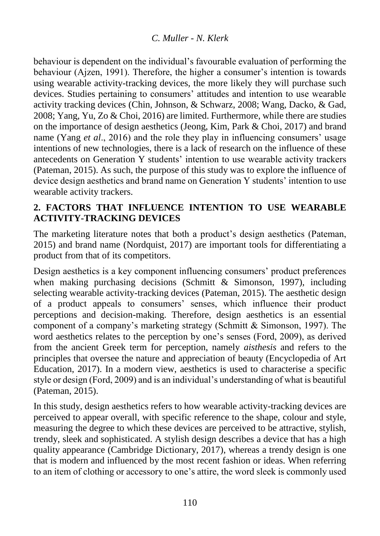behaviour is dependent on the individual's favourable evaluation of performing the behaviour (Ajzen, 1991). Therefore, the higher a consumer's intention is towards using wearable activity-tracking devices, the more likely they will purchase such devices. Studies pertaining to consumers' attitudes and intention to use wearable activity tracking devices (Chin, Johnson, & Schwarz, 2008; Wang, Dacko, & Gad, 2008; Yang, Yu, Zo & Choi, 2016) are limited. Furthermore, while there are studies on the importance of design aesthetics (Jeong, Kim, Park & Choi, 2017) and brand name (Yang *et al*., 2016) and the role they play in influencing consumers' usage intentions of new technologies, there is a lack of research on the influence of these antecedents on Generation Y students' intention to use wearable activity trackers (Pateman, 2015). As such, the purpose of this study was to explore the influence of device design aesthetics and brand name on Generation Y students' intention to use wearable activity trackers.

# **2. FACTORS THAT INFLUENCE INTENTION TO USE WEARABLE ACTIVITY-TRACKING DEVICES**

The marketing literature notes that both a product's design aesthetics (Pateman, 2015) and brand name (Nordquist, 2017) are important tools for differentiating a product from that of its competitors.

Design aesthetics is a key component influencing consumers' product preferences when making purchasing decisions (Schmitt  $\&$  Simonson, 1997), including selecting wearable activity-tracking devices (Pateman, 2015). The aesthetic design of a product appeals to consumers' senses, which influence their product perceptions and decision-making. Therefore, design aesthetics is an essential component of a company's marketing strategy (Schmitt & Simonson, 1997). The word aesthetics relates to the perception by one's senses (Ford, 2009), as derived from the ancient Greek term for perception, namely *aisthesis* and refers to the principles that oversee the nature and appreciation of beauty (Encyclopedia of Art Education, 2017). In a modern view, aesthetics is used to characterise a specific style or design (Ford, 2009) and is an individual's understanding of what is beautiful (Pateman, 2015).

In this study, design aesthetics refers to how wearable activity-tracking devices are perceived to appear overall, with specific reference to the shape, colour and style, measuring the degree to which these devices are perceived to be attractive, stylish, trendy, sleek and sophisticated. A stylish design describes a device that has a high quality appearance (Cambridge Dictionary, 2017), whereas a trendy design is one that is modern and influenced by the most recent fashion or ideas. When referring to an item of clothing or accessory to one's attire, the word sleek is commonly used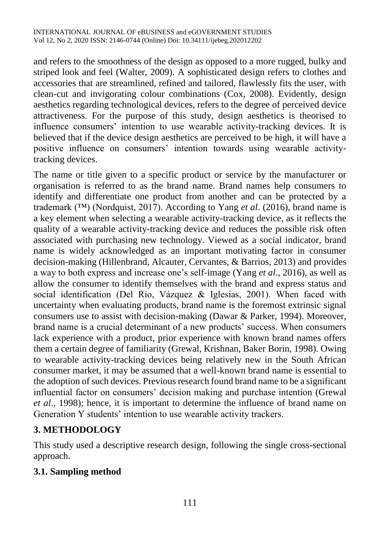and refers to the smoothness of the design as opposed to a more rugged, bulky and striped look and feel (Walter, 2009). A sophisticated design refers to clothes and accessories that are streamlined, refined and tailored, flawlessly fits the user, with clean-cut and invigorating colour combinations (Cox, 2008). Evidently, design aesthetics regarding technological devices, refers to the degree of perceived device attractiveness. For the purpose of this study, design aesthetics is theorised to influence consumers' intention to use wearable activity-tracking devices. It is believed that if the device design aesthetics are perceived to be high, it will have a positive influence on consumers' intention towards using wearable activitytracking devices.

The name or title given to a specific product or service by the manufacturer or organisation is referred to as the brand name. Brand names help consumers to identify and differentiate one product from another and can be protected by a trademark (™) (Nordquist, 2017). According to Yang *et al*. (2016), brand name is a key element when selecting a wearable activity-tracking device, as it reflects the quality of a wearable activity-tracking device and reduces the possible risk often associated with purchasing new technology. Viewed as a social indicator, brand name is widely acknowledged as an important motivating factor in consumer decision-making (Hillenbrand, Alcauter, Cervantes, & Barrios, 2013) and provides a way to both express and increase one's self-image (Yang *et al*., 2016), as well as allow the consumer to identify themselves with the brand and express status and social identification (Del Río, Vázquez & Iglesias, 2001). When faced with uncertainty when evaluating products, brand name is the foremost extrinsic signal consumers use to assist with decision-making (Dawar & Parker, 1994). Moreover, brand name is a crucial determinant of a new products' success. When consumers lack experience with a product, prior experience with known brand names offers them a certain degree of familiarity (Grewal, Krishnan, Baker Borin, 1998). Owing to wearable activity-tracking devices being relatively new in the South African consumer market, it may be assumed that a well-known brand name is essential to the adoption of such devices. Previous research found brand name to be a significant influential factor on consumers' decision making and purchase intention (Grewal *et al*., 1998); hence, it is important to determine the influence of brand name on Generation Y students' intention to use wearable activity trackers.

# **3. METHODOLOGY**

This study used a descriptive research design, following the single cross-sectional approach.

# **3.1. Sampling method**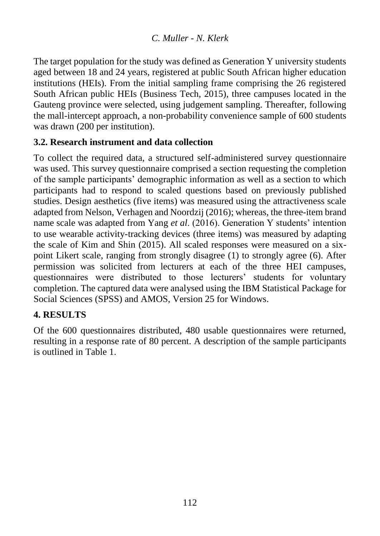The target population for the study was defined as Generation Y university students aged between 18 and 24 years, registered at public South African higher education institutions (HEIs). From the initial sampling frame comprising the 26 registered South African public HEIs (Business Tech, 2015), three campuses located in the Gauteng province were selected, using judgement sampling. Thereafter, following the mall-intercept approach, a non-probability convenience sample of 600 students was drawn (200 per institution).

### **3.2. Research instrument and data collection**

To collect the required data, a structured self-administered survey questionnaire was used. This survey questionnaire comprised a section requesting the completion of the sample participants' demographic information as well as a section to which participants had to respond to scaled questions based on previously published studies. Design aesthetics (five items) was measured using the attractiveness scale adapted from Nelson, Verhagen and Noordzij (2016); whereas, the three-item brand name scale was adapted from Yang *et al*. (2016). Generation Y students' intention to use wearable activity-tracking devices (three items) was measured by adapting the scale of Kim and Shin (2015). All scaled responses were measured on a sixpoint Likert scale, ranging from strongly disagree (1) to strongly agree (6). After permission was solicited from lecturers at each of the three HEI campuses, questionnaires were distributed to those lecturers' students for voluntary completion. The captured data were analysed using the IBM Statistical Package for Social Sciences (SPSS) and AMOS, Version 25 for Windows.

# **4. RESULTS**

Of the 600 questionnaires distributed, 480 usable questionnaires were returned, resulting in a response rate of 80 percent. A description of the sample participants is outlined in Table 1.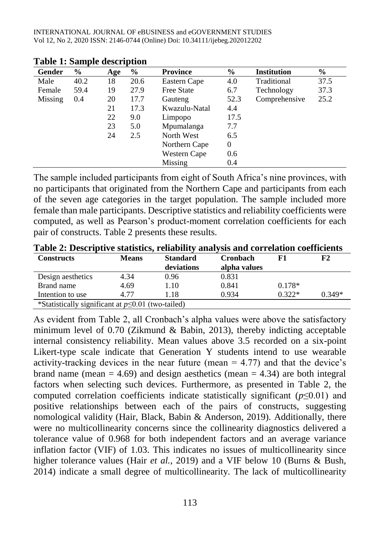| Gender  | $\frac{0}{0}$ | Age | $\frac{6}{9}$ | <b>Province</b> | $\%$     | <b>Institution</b> | $\%$ |
|---------|---------------|-----|---------------|-----------------|----------|--------------------|------|
| Male    | 40.2          | 18  | 20.6          | Eastern Cape    | 4.0      | Traditional        | 37.5 |
| Female  | 59.4          | 19  | 27.9          | Free State      | 6.7      | Technology         | 37.3 |
| Missing | 0.4           | 20  | 17.7          | Gauteng         | 52.3     | Comprehensive      | 25.2 |
|         |               | 21  | 17.3          | Kwazulu-Natal   | 4.4      |                    |      |
|         |               | 22  | 9.0           | Limpopo         | 17.5     |                    |      |
|         |               | 23  | 5.0           | Mpumalanga      | 7.7      |                    |      |
|         |               | 24  | 2.5           | North West      | 6.5      |                    |      |
|         |               |     |               | Northern Cape   | $\theta$ |                    |      |
|         |               |     |               | Western Cape    | 0.6      |                    |      |
|         |               |     |               | Missing         | 0.4      |                    |      |

**Table 1: Sample description**

The sample included participants from eight of South Africa's nine provinces, with no participants that originated from the Northern Cape and participants from each of the seven age categories in the target population. The sample included more female than male participants. Descriptive statistics and reliability coefficients were computed, as well as Pearson's product-moment correlation coefficients for each pair of constructs. Table 2 presents these results.

| <b>Constructs</b>                                       | <b>Means</b> | <b>Standard</b> | <b>Cronbach</b> |          | F2       |  |
|---------------------------------------------------------|--------------|-----------------|-----------------|----------|----------|--|
|                                                         |              | deviations      | alpha values    |          |          |  |
| Design aesthetics                                       | 4.34         | 0.96            | 0.831           |          |          |  |
| Brand name                                              | 4.69         | 1.10            | 0.841           | $0.178*$ |          |  |
| Intention to use                                        | 4.77         | 1.18            | 0.934           | $0.322*$ | $0.349*$ |  |
| *Statistically significant at $p \le 0.01$ (two-tailed) |              |                 |                 |          |          |  |

**Table 2: Descriptive statistics, reliability analysis and correlation coefficients**

As evident from Table 2, all Cronbach's alpha values were above the satisfactory minimum level of 0.70 (Zikmund & Babin, 2013), thereby indicting acceptable internal consistency reliability. Mean values above 3.5 recorded on a six-point Likert-type scale indicate that Generation Y students intend to use wearable activity-tracking devices in the near future (mean  $= 4.77$ ) and that the device's brand name (mean  $= 4.69$ ) and design aesthetics (mean  $= 4.34$ ) are both integral factors when selecting such devices. Furthermore, as presented in Table 2, the computed correlation coefficients indicate statistically significant (*p*≤0.01) and positive relationships between each of the pairs of constructs, suggesting nomological validity (Hair, Black, Babin & Anderson, 2019). Additionally, there were no multicollinearity concerns since the collinearity diagnostics delivered a tolerance value of 0.968 for both independent factors and an average variance inflation factor (VIF) of 1.03. This indicates no issues of multicollinearity since higher tolerance values (Hair *et al.*, 2019) and a VIF below 10 (Burns & Bush, 2014) indicate a small degree of multicollinearity. The lack of multicollinearity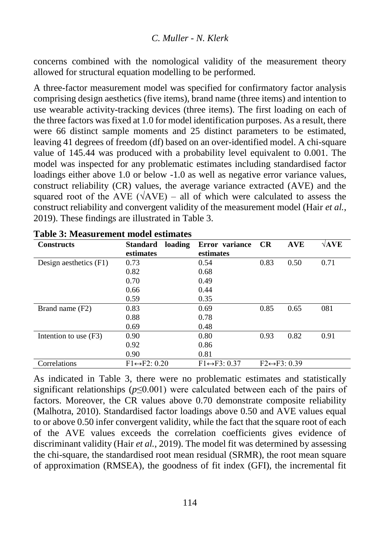concerns combined with the nomological validity of the measurement theory allowed for structural equation modelling to be performed.

A three-factor measurement model was specified for confirmatory factor analysis comprising design aesthetics (five items), brand name (three items) and intention to use wearable activity-tracking devices (three items). The first loading on each of the three factors was fixed at 1.0 for model identification purposes. As a result, there were 66 distinct sample moments and 25 distinct parameters to be estimated, leaving 41 degrees of freedom (df) based on an over-identified model. A chi-square value of 145.44 was produced with a probability level equivalent to 0.001. The model was inspected for any problematic estimates including standardised factor loadings either above 1.0 or below -1.0 as well as negative error variance values, construct reliability (CR) values, the average variance extracted (AVE) and the squared root of the AVE ( $\sqrt{AVE}$ ) – all of which were calculated to assess the construct reliability and convergent validity of the measurement model (Hair *et al.*, 2019). These findings are illustrated in Table 3.

| <b>Constructs</b>      | loading<br><b>Standard</b>    | Error variance                | CR   | <b>AVE</b>                    | $\sqrt{\text{AVE}}$ |
|------------------------|-------------------------------|-------------------------------|------|-------------------------------|---------------------|
|                        | estimates                     | estimates                     |      |                               |                     |
| Design aesthetics (F1) | 0.73                          | 0.54                          | 0.83 | 0.50                          | 0.71                |
|                        | 0.82                          | 0.68                          |      |                               |                     |
|                        | 0.70                          | 0.49                          |      |                               |                     |
|                        | 0.66                          | 0.44                          |      |                               |                     |
|                        | 0.59                          | 0.35                          |      |                               |                     |
| Brand name (F2)        | 0.83                          | 0.69                          | 0.85 | 0.65                          | 081                 |
|                        | 0.88                          | 0.78                          |      |                               |                     |
|                        | 0.69                          | 0.48                          |      |                               |                     |
| Intention to use (F3)  | 0.90                          | 0.80                          | 0.93 | 0.82                          | 0.91                |
|                        | 0.92                          | 0.86                          |      |                               |                     |
|                        | 0.90                          | 0.81                          |      |                               |                     |
| Correlations           | $F1 \leftrightarrow F2: 0.20$ | $F1 \leftrightarrow F3: 0.37$ |      | $F2 \leftrightarrow F3: 0.39$ |                     |

| <b>Table 3: Measurement model estimates</b> |  |
|---------------------------------------------|--|
|---------------------------------------------|--|

As indicated in Table 3, there were no problematic estimates and statistically significant relationships ( $p \le 0.001$ ) were calculated between each of the pairs of factors. Moreover, the CR values above 0.70 demonstrate composite reliability (Malhotra, 2010). Standardised factor loadings above 0.50 and AVE values equal to or above 0.50 infer convergent validity, while the fact that the square root of each of the AVE values exceeds the correlation coefficients gives evidence of discriminant validity (Hair *et al.*, 2019). The model fit was determined by assessing the chi-square, the standardised root mean residual (SRMR), the root mean square of approximation (RMSEA), the goodness of fit index (GFI), the incremental fit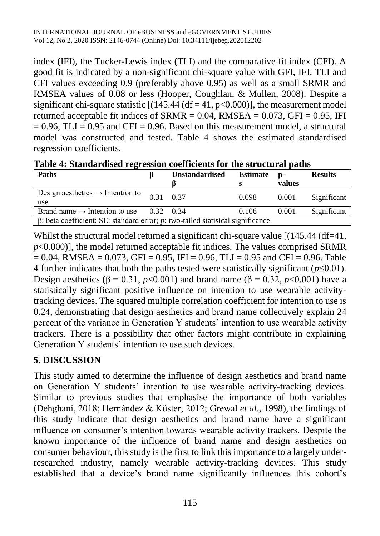index (IFI), the Tucker-Lewis index (TLI) and the comparative fit index (CFI). A good fit is indicated by a non-significant chi-square value with GFI, IFI, TLI and CFI values exceeding 0.9 (preferably above 0.95) as well as a small SRMR and RMSEA values of 0.08 or less (Hooper, Coughlan, & Mullen, 2008). Despite a significant chi-square statistic  $[(145.44 (df = 41, p < 0.000)]$ , the measurement model returned acceptable fit indices of  $SRMR = 0.04$ ,  $RMSEA = 0.073$ ,  $GFI = 0.95$ , IFI  $= 0.96$ , TLI  $= 0.95$  and CFI  $= 0.96$ . Based on this measurement model, a structural model was constructed and tested. Table 4 shows the estimated standardised regression coefficients.

| <b>Paths</b>                                                                          |           | <b>Unstandardised</b> | <b>Estimate</b> | D-     | <b>Results</b> |
|---------------------------------------------------------------------------------------|-----------|-----------------------|-----------------|--------|----------------|
|                                                                                       |           |                       |                 | values |                |
| Design aesthetics $\rightarrow$ Intention to<br>use                                   | 0.31      | 0.37                  | 0.098           | 0.001  | Significant    |
| Brand name $\rightarrow$ Intention to use                                             | 0.32 0.34 |                       | 0.106           | 0.001  | Significant    |
| $\beta$ : beta coefficient; SE: standard error; p: two-tailed statisical significance |           |                       |                 |        |                |

**Table 4: Standardised regression coefficients for the structural paths**

Whilst the structural model returned a significant chi-square value  $[(145.44 \text{ (df=4)},$  $p<0.000$ ], the model returned acceptable fit indices. The values comprised SRMR  $= 0.04$ , RMSEA  $= 0.073$ , GFI  $= 0.95$ , IFI  $= 0.96$ , TLI  $= 0.95$  and CFI  $= 0.96$ . Table 4 further indicates that both the paths tested were statistically significant (*p*≤0.01). Design aesthetics (β = 0.31, *p*<0.001) and brand name (β = 0.32, *p*<0.001) have a statistically significant positive influence on intention to use wearable activitytracking devices. The squared multiple correlation coefficient for intention to use is 0.24, demonstrating that design aesthetics and brand name collectively explain 24 percent of the variance in Generation Y students' intention to use wearable activity trackers. There is a possibility that other factors might contribute in explaining Generation Y students' intention to use such devices.

# **5. DISCUSSION**

This study aimed to determine the influence of design aesthetics and brand name on Generation Y students' intention to use wearable activity-tracking devices. Similar to previous studies that emphasise the importance of both variables (Dehghani, 2018; Hernández & Küster, 2012; Grewal *et al*., 1998), the findings of this study indicate that design aesthetics and brand name have a significant influence on consumer's intention towards wearable activity trackers. Despite the known importance of the influence of brand name and design aesthetics on consumer behaviour, this study is the first to link this importance to a largely underresearched industry, namely wearable activity-tracking devices. This study established that a device's brand name significantly influences this cohort's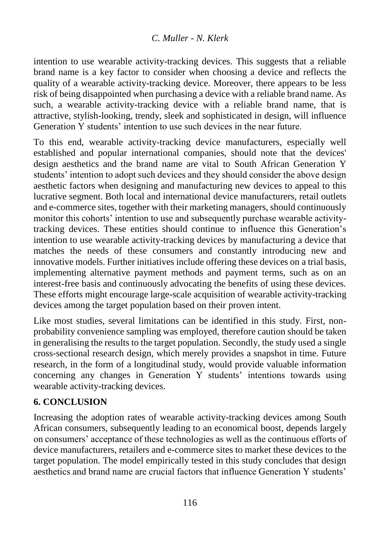intention to use wearable activity-tracking devices. This suggests that a reliable brand name is a key factor to consider when choosing a device and reflects the quality of a wearable activity-tracking device. Moreover, there appears to be less risk of being disappointed when purchasing a device with a reliable brand name. As such, a wearable activity-tracking device with a reliable brand name, that is attractive, stylish-looking, trendy, sleek and sophisticated in design, will influence Generation Y students' intention to use such devices in the near future.

To this end, wearable activity-tracking device manufacturers, especially well established and popular international companies, should note that the devices' design aesthetics and the brand name are vital to South African Generation Y students' intention to adopt such devices and they should consider the above design aesthetic factors when designing and manufacturing new devices to appeal to this lucrative segment. Both local and international device manufacturers, retail outlets and e-commerce sites, together with their marketing managers, should continuously monitor this cohorts' intention to use and subsequently purchase wearable activitytracking devices. These entities should continue to influence this Generation's intention to use wearable activity-tracking devices by manufacturing a device that matches the needs of these consumers and constantly introducing new and innovative models. Further initiatives include offering these devices on a trial basis, implementing alternative payment methods and payment terms, such as on an interest-free basis and continuously advocating the benefits of using these devices. These efforts might encourage large-scale acquisition of wearable activity-tracking devices among the target population based on their proven intent.

Like most studies, several limitations can be identified in this study. First, nonprobability convenience sampling was employed, therefore caution should be taken in generalising the results to the target population. Secondly, the study used a single cross-sectional research design, which merely provides a snapshot in time. Future research, in the form of a longitudinal study, would provide valuable information concerning any changes in Generation Y students' intentions towards using wearable activity-tracking devices.

# **6. CONCLUSION**

Increasing the adoption rates of wearable activity-tracking devices among South African consumers, subsequently leading to an economical boost, depends largely on consumers' acceptance of these technologies as well as the continuous efforts of device manufacturers, retailers and e-commerce sites to market these devices to the target population. The model empirically tested in this study concludes that design aesthetics and brand name are crucial factors that influence Generation Y students'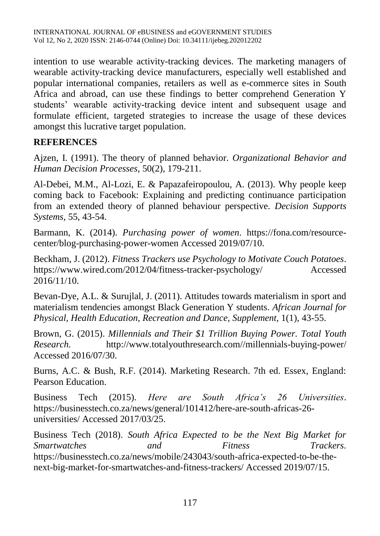intention to use wearable activity-tracking devices. The marketing managers of wearable activity-tracking device manufacturers, especially well established and popular international companies, retailers as well as e-commerce sites in South Africa and abroad, can use these findings to better comprehend Generation Y students' wearable activity-tracking device intent and subsequent usage and formulate efficient, targeted strategies to increase the usage of these devices amongst this lucrative target population.

### **REFERENCES**

Ajzen, I. (1991). The theory of planned behavior. *Organizational Behavior and Human Decision Processes*, 50(2), 179-211.

Al-Debei, M.M., Al-Lozi, E. & Papazafeiropoulou, A. (2013). Why people keep coming back to Facebook: Explaining and predicting continuance participation from an extended theory of planned behaviour perspective. *Decision Supports Systems*, 55, 43-54.

Barmann, K. (2014). *Purchasing power of women*. https://fona.com/resourcecenter/blog-purchasing-power-women Accessed 2019/07/10.

Beckham, J. (2012). *Fitness Trackers use Psychology to Motivate Couch Potatoes*. https://www.wired.com/2012/04/fitness-tracker-psychology/ Accessed 2016/11/10.

Bevan-Dye, A.L. & Surujlal, J. (2011). Attitudes towards materialism in sport and materialism tendencies amongst Black Generation Y students. *African Journal for Physical, Health Education, Recreation and Dance*, *Supplement*, 1(1), 43-55.

Brown, G. (2015). *Millennials and Their \$1 Trillion Buying Power. Total Youth Research.* http://www.totalyouthresearch.com//millennials-buying-power/ Accessed 2016/07/30.

Burns, A.C. & Bush, R.F. (2014). Marketing Research. 7th ed. Essex, England: Pearson Education.

Business Tech (2015). *Here are South Africa's 26 Universities*. https://businesstech.co.za/news/general/101412/here-are-south-africas-26 universities/ Accessed 2017/03/25.

Business Tech (2018). *South Africa Expected to be the Next Big Market for Smartwatches and Fitness Trackers*. [https://businesstech.co.za/news/mobile/243043/south-africa-expected-to-be-the](https://businesstech.co.za/news/mobile/243043/south-africa-expected-to-be-the-next-big-market-for-smartwatches-and-fitness-trackers/)[next-big-market-for-smartwatches-and-fitness-trackers/](https://businesstech.co.za/news/mobile/243043/south-africa-expected-to-be-the-next-big-market-for-smartwatches-and-fitness-trackers/) Accessed 2019/07/15.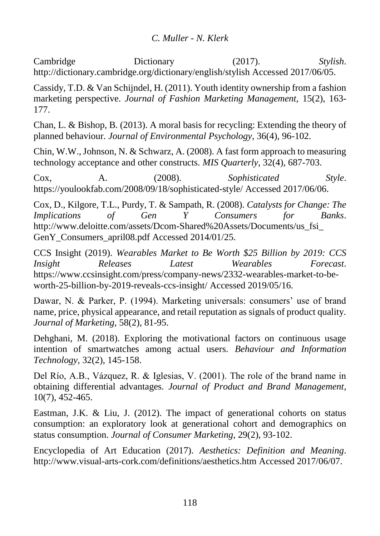Cambridge Dictionary (2017). *Stylish*. http://dictionary.cambridge.org/dictionary/english/stylish Accessed 2017/06/05.

Cassidy, T.D. & Van Schijndel, H. (2011). Youth identity ownership from a fashion marketing perspective. *Journal of Fashion Marketing Management,* 15(2), 163- 177.

Chan, L. & Bishop, B. (2013). A moral basis for recycling: Extending the theory of planned behaviour. *Journal of Environmental Psychology*, 36(4), 96-102.

Chin, W.W., Johnson, N. & Schwarz, A. (2008). A fast form approach to measuring technology acceptance and other constructs. *MIS Quarterly*, 32(4), 687-703.

Cox, A. (2008). *Sophisticated Style*. https://youlookfab.com/2008/09/18/sophisticated-style/ Accessed 2017/06/06.

Cox, D., Kilgore, T.L., Purdy, T. & Sampath, R. (2008). *Catalysts for Change: The Implications of Gen Y Consumers for Banks*. http://www.deloitte.com/assets/Dcom-Shared%20Assets/Documents/us\_fsi\_ GenY\_Consumers\_april08.pdf Accessed 2014/01/25.

CCS Insight (2019). *Wearables Market to Be Worth \$25 Billion by 2019: CCS Insight Releases Latest Wearables Forecast*. https://www.ccsinsight.com/press/company-news/2332-wearables-market-to-beworth-25-billion-by-2019-reveals-ccs-insight/ Accessed 2019/05/16.

Dawar, N. & Parker, P. (1994). Marketing universals: consumers' use of brand name, price, physical appearance, and retail reputation as signals of product quality. *Journal of Marketing*, 58(2), 81-95.

Dehghani, M. (2018). Exploring the motivational factors on continuous usage intention of smartwatches among actual users. *Behaviour and Information Technology,* 32(2), 145-158.

Del Río, A.B., Vázquez, R. & Iglesias, V. (2001). The role of the brand name in obtaining differential advantages. *Journal of Product and Brand Management*, 10(7), 452-465.

Eastman, J.K. & Liu, J. (2012). The impact of generational cohorts on status consumption: an exploratory look at generational cohort and demographics on status consumption. *Journal of Consumer Marketing,* 29(2), 93-102.

Encyclopedia of Art Education (2017). *Aesthetics: Definition and Meaning*. http://www.visual-arts-cork.com/definitions/aesthetics.htm Accessed 2017/06/07.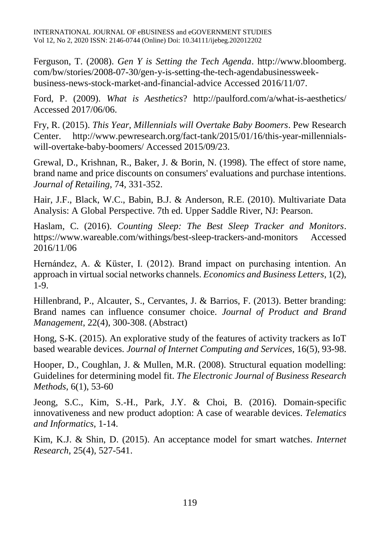INTERNATIONAL JOURNAL OF eBUSINESS and eGOVERNMENT STUDIES Vol 12, No 2, 2020 ISSN: 2146-0744 (Online) Doi: 10.34111/ijebeg.202012202

Ferguson, T. (2008). *Gen Y is Setting the Tech Agenda*. http://www.bloomberg. com/bw/stories/2008-07-30/gen-y-is-setting-the-tech-agendabusinessweekbusiness-news-stock-market-and-financial-advice Accessed 2016/11/07.

Ford, P. (2009). *What is Aesthetics*? http://paulford.com/a/what-is-aesthetics/ Accessed 2017/06/06.

Fry, R. (2015). *This Year, Millennials will Overtake Baby Boomers*. Pew Research Center. http://www.pewresearch.org/fact-tank/2015/01/16/this-year-millennialswill-overtake-baby-boomers/ Accessed 2015/09/23.

Grewal, D., Krishnan, R., Baker, J. & Borin, N. (1998). The effect of store name, brand name and price discounts on consumers' evaluations and purchase intentions. *Journal of Retailing*, 74, 331-352.

Hair, J.F., Black, W.C., Babin, B.J. & Anderson, R.E. (2010). Multivariate Data Analysis: A Global Perspective. 7th ed. Upper Saddle River, NJ: Pearson.

Haslam, C. (2016). *Counting Sleep: The Best Sleep Tracker and Monitors*. https://www.wareable.com/withings/best-sleep-trackers-and-monitors Accessed 2016/11/06

Hernández, A. & Küster, I. (2012). Brand impact on purchasing intention. An approach in virtual social networks channels. *Economics and Business Letters*, 1(2), 1-9.

Hillenbrand, P., Alcauter, S., Cervantes, J. & Barrios, F. (2013). Better branding: Brand names can influence consumer choice. *Journal of Product and Brand Management*, 22(4), 300-308. (Abstract)

Hong, S-K. (2015). An explorative study of the features of activity trackers as IoT based wearable devices. *Journal of Internet Computing and Services*, 16(5), 93-98.

Hooper, D., Coughlan, J. & Mullen, M.R. (2008). Structural equation modelling: Guidelines for determining model fit. *The Electronic Journal of Business Research Methods*, 6(1), 53-60

Jeong, S.C., Kim, S.-H., Park, J.Y. & Choi, B. (2016). Domain-specific innovativeness and new product adoption: A case of wearable devices. *Telematics and Informatics*, 1-14.

Kim, K.J. & Shin, D. (2015). An acceptance model for smart watches. *Internet Research*, 25(4), 527-541.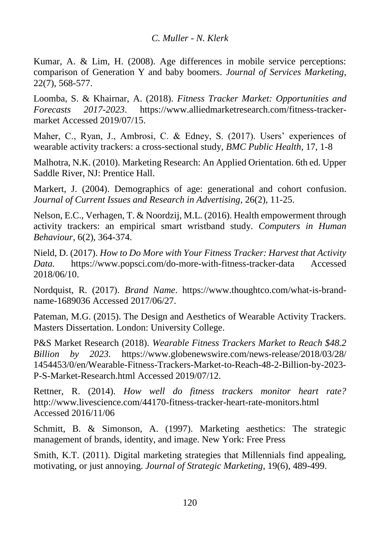Kumar, A. & Lim, H. (2008). Age differences in mobile service perceptions: comparison of Generation Y and baby boomers. *Journal of Services Marketing*, 22(7), 568-577.

Loomba, S. & Khairnar, A. (2018). *Fitness Tracker Market: Opportunities and Forecasts 2017-2023*. [https://www.alliedmarketresearch.com/fitness-tracker](https://www.alliedmarketresearch.com/fitness-tracker-market)[market](https://www.alliedmarketresearch.com/fitness-tracker-market) Accessed 2019/07/15.

Maher, C., Ryan, J., Ambrosi, C. & Edney, S. (2017). Users' experiences of wearable activity trackers: a cross-sectional study, *BMC Public Health*, 17, 1-8

Malhotra, N.K. (2010). Marketing Research: An Applied Orientation. 6th ed. Upper Saddle River, NJ: Prentice Hall.

Markert, J. (2004). Demographics of age: generational and cohort confusion. *Journal of Current Issues and Research in Advertising*, 26(2), 11-25.

Nelson, E.C., Verhagen, T. & Noordzij, M.L. (2016). Health empowerment through activity trackers: an empirical smart wristband study. *Computers in Human Behaviour*, 6(2), 364-374.

Nield, D. (2017). *How to Do More with Your Fitness Tracker: Harvest that Activity Data.* https://www.popsci.com/do-more-with-fitness-tracker-data Accessed 2018/06/10.

Nordquist, R. (2017). *Brand Name*. https://www.thoughtco.com/what-is-brandname-1689036 Accessed 2017/06/27.

Pateman, M.G. (2015). The Design and Aesthetics of Wearable Activity Trackers. Masters Dissertation. London: University College.

P&S Market Research (2018). *Wearable Fitness Trackers Market to Reach \$48.2 Billion by 2023.* https://www.globenewswire.com/news-release/2018/03/28/ 1454453/0/en/Wearable-Fitness-Trackers-Market-to-Reach-48-2-Billion-by-2023- P-S-Market-Research.html Accessed 2019/07/12.

Rettner, R. (2014). *How well do fitness trackers monitor heart rate?*  <http://www.livescience.com/44170-fitness-tracker-heart-rate-monitors.html> Accessed 2016/11/06

Schmitt, B. & Simonson, A. (1997). Marketing aesthetics: The strategic management of brands, identity, and image. New York: Free Press

Smith, K.T. (2011). Digital marketing strategies that Millennials find appealing, motivating, or just annoying. *Journal of Strategic Marketing*, 19(6), 489-499.